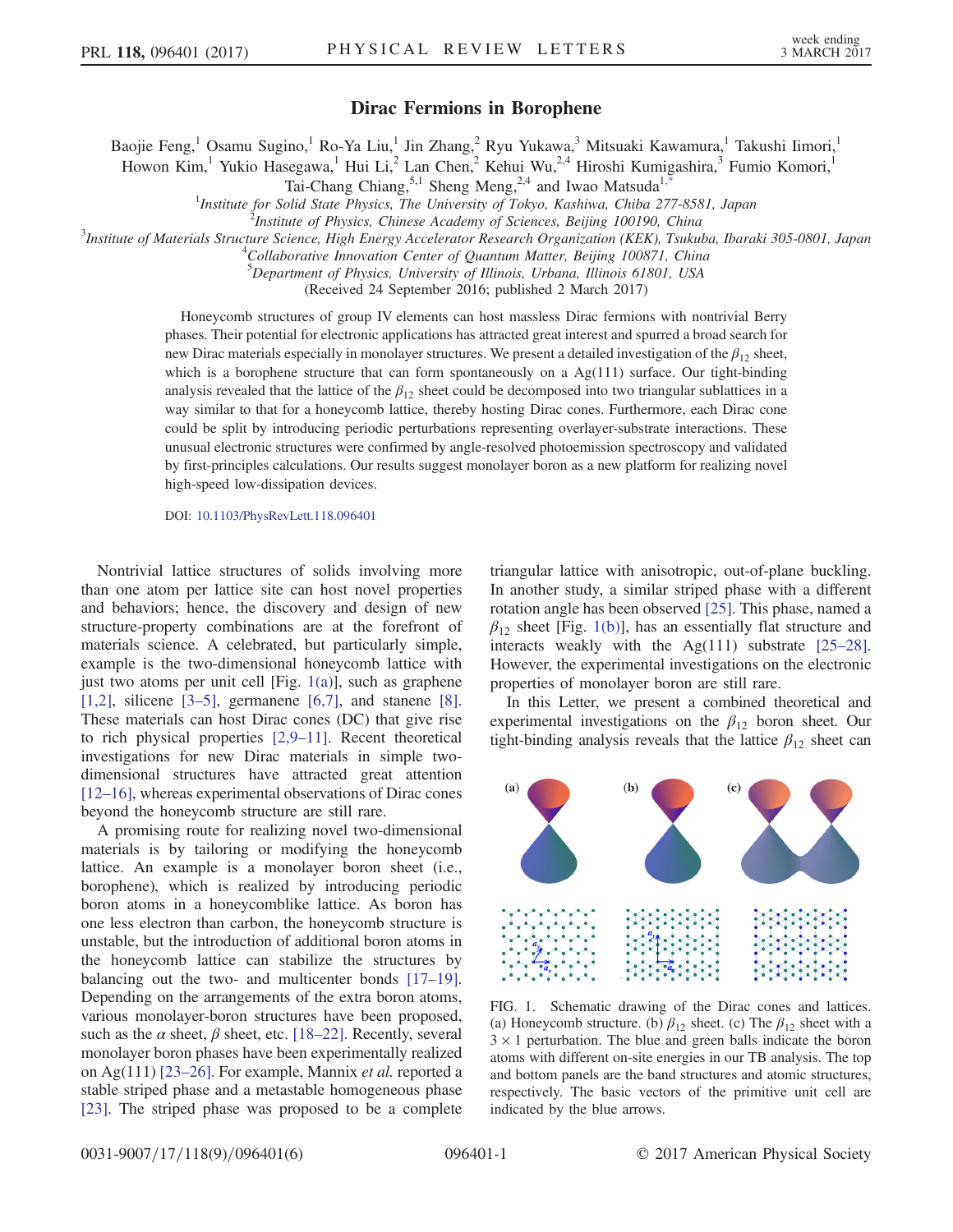3 MARCH 2017

Baojie Feng,<sup>1</sup> Osamu Sugino,<sup>1</sup> Ro-Ya Liu,<sup>1</sup> Jin Zhang,<sup>2</sup> Ryu Yukawa,<sup>3</sup> Mitsuaki Kawamura,<sup>1</sup> Takushi Iimori,<sup>1</sup>

<span id="page-0-1"></span>Howon Kim,<sup>1</sup> Yukio Hasegawa,<sup>1</sup> Hui Li,<sup>2</sup> Lan Chen,<sup>2</sup> Kehui Wu,<sup>2,4</sup> Hiroshi Kumigashira,<sup>3</sup> Fumio Komori,<sup>1</sup>

Tai-Chang Chiang,<sup>5,1</sup> Sheng Meng,<sup>2,4</sup> and Iwao Matsuda<sup>[1,\\*](#page-4-0)</sup><br><sup>1</sup>Institute for Solid State Physics, The University of Tokyo, Kashiwa, Chiba 277-8581, Japan<br><sup>2</sup>Institute of Physics, Chinase Asedemy of Sciences, Paijing, 10

 $^2$ Institute of Physics, Chinese Academy of Sciences, Beijing 100190, China

<sup>3</sup>Institute of Materials Structure Science, High Energy Accelerator Research Organization (KEK), Tsukuba, Ibaraki 305-0801, Japan

 $^4$ Collaborative Innovation Center of Quantum Matter, Beijing 100871, China

5 Department of Physics, University of Illinois, Urbana, Illinois 61801, USA

(Received 24 September 2016; published 2 March 2017)

Honeycomb structures of group IV elements can host massless Dirac fermions with nontrivial Berry phases. Their potential for electronic applications has attracted great interest and spurred a broad search for new Dirac materials especially in monolayer structures. We present a detailed investigation of the  $\beta_{12}$  sheet, which is a borophene structure that can form spontaneously on a  $Ag(111)$  surface. Our tight-binding analysis revealed that the lattice of the  $\beta_{12}$  sheet could be decomposed into two triangular sublattices in a way similar to that for a honeycomb lattice, thereby hosting Dirac cones. Furthermore, each Dirac cone could be split by introducing periodic perturbations representing overlayer-substrate interactions. These unusual electronic structures were confirmed by angle-resolved photoemission spectroscopy and validated by first-principles calculations. Our results suggest monolayer boron as a new platform for realizing novel high-speed low-dissipation devices.

DOI: [10.1103/PhysRevLett.118.096401](http://dx.doi.org/10.1103/PhysRevLett.118.096401)

Nontrivial lattice structures of solids involving more than one atom per lattice site can host novel properties and behaviors; hence, the discovery and design of new structure-property combinations are at the forefront of materials science. A celebrated, but particularly simple, example is the two-dimensional honeycomb lattice with just two atoms per unit cell [Fig. [1\(a\)](#page-0-0)], such as graphene [\[1,2\],](#page-4-1) silicene [3–[5\]](#page-4-2), germanene [\[6,7\],](#page-4-3) and stanene [\[8\]](#page-4-4). These materials can host Dirac cones (DC) that give rise to rich physical properties [\[2,9](#page-4-5)–11]. Recent theoretical investigations for new Dirac materials in simple twodimensional structures have attracted great attention [\[12](#page-4-6)–16], whereas experimental observations of Dirac cones beyond the honeycomb structure are still rare.

A promising route for realizing novel two-dimensional materials is by tailoring or modifying the honeycomb lattice. An example is a monolayer boron sheet (i.e., borophene), which is realized by introducing periodic boron atoms in a honeycomblike lattice. As boron has one less electron than carbon, the honeycomb structure is unstable, but the introduction of additional boron atoms in the honeycomb lattice can stabilize the structures by balancing out the two- and multicenter bonds [\[17](#page-4-7)–19]. Depending on the arrangements of the extra boron atoms, various monolayer-boron structures have been proposed, such as the  $\alpha$  sheet,  $\beta$  sheet, etc. [\[18](#page-4-8)–22]. Recently, several monolayer boron phases have been experimentally realized on Ag(111) [23–[26\].](#page-4-9) For example, Mannix et al. reported a stable striped phase and a metastable homogeneous phase [\[23\]](#page-4-9). The striped phase was proposed to be a complete triangular lattice with anisotropic, out-of-plane buckling. In another study, a similar striped phase with a different rotation angle has been observed [\[25\]](#page-4-10). This phase, named a  $\beta_{12}$  sheet [Fig. [1\(b\)](#page-0-0)], has an essentially flat structure and interacts weakly with the Ag(111) substrate [\[25](#page-4-10)–28]. However, the experimental investigations on the electronic properties of monolayer boron are still rare.

In this Letter, we present a combined theoretical and experimental investigations on the  $\beta_{12}$  boron sheet. Our tight-binding analysis reveals that the lattice  $\beta_{12}$  sheet can

<span id="page-0-0"></span>

FIG. 1. Schematic drawing of the Dirac cones and lattices. (a) Honeycomb structure. (b)  $\beta_{12}$  sheet. (c) The  $\beta_{12}$  sheet with a  $3 \times 1$  perturbation. The blue and green balls indicate the boron atoms with different on-site energies in our TB analysis. The top and bottom panels are the band structures and atomic structures, respectively. The basic vectors of the primitive unit cell are indicated by the blue arrows.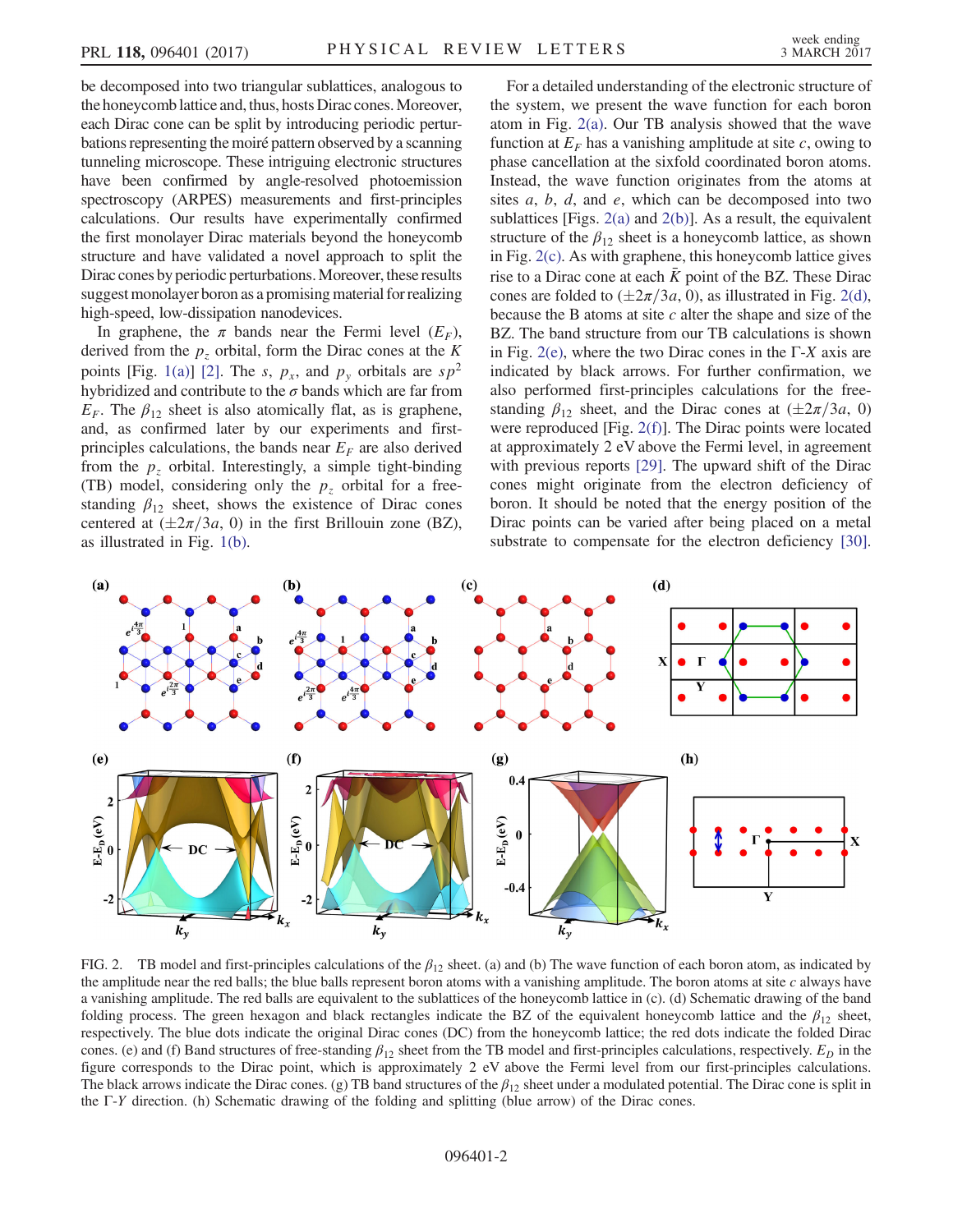be decomposed into two triangular sublattices, analogous to the honeycomb lattice and, thus, hosts Dirac cones.Moreover, each Dirac cone can be split by introducing periodic perturbations representing the moiré pattern observed by a scanning tunneling microscope. These intriguing electronic structures have been confirmed by angle-resolved photoemission spectroscopy (ARPES) measurements and first-principles calculations. Our results have experimentally confirmed the first monolayer Dirac materials beyond the honeycomb structure and have validated a novel approach to split the Dirac cones by periodic perturbations.Moreover, these results suggest monolayer boron as a promising material for realizing high-speed, low-dissipation nanodevices.

In graphene, the  $\pi$  bands near the Fermi level  $(E_F)$ , derived from the  $p<sub>z</sub>$  orbital, form the Dirac cones at the K points [Fig. [1\(a\)\]](#page-0-0) [\[2\]](#page-4-5). The s,  $p_x$ , and  $p_y$  orbitals are  $sp^2$ hybridized and contribute to the  $\sigma$  bands which are far from  $E_F$ . The  $\beta_{12}$  sheet is also atomically flat, as is graphene, and, as confirmed later by our experiments and firstprinciples calculations, the bands near  $E_F$  are also derived from the  $p<sub>z</sub>$  orbital. Interestingly, a simple tight-binding (TB) model, considering only the  $p<sub>z</sub>$  orbital for a freestanding  $\beta_{12}$  sheet, shows the existence of Dirac cones centered at  $(\pm 2\pi/3a, 0)$  in the first Brillouin zone (BZ), as illustrated in Fig. [1\(b\)](#page-0-0).

For a detailed understanding of the electronic structure of the system, we present the wave function for each boron atom in Fig. [2\(a\).](#page-1-0) Our TB analysis showed that the wave function at  $E_F$  has a vanishing amplitude at site c, owing to phase cancellation at the sixfold coordinated boron atoms. Instead, the wave function originates from the atoms at sites  $a, b, d$ , and  $e$ , which can be decomposed into two sublattices [Figs.  $2(a)$  and  $2(b)$ ]. As a result, the equivalent structure of the  $\beta_{12}$  sheet is a honeycomb lattice, as shown in Fig. [2\(c\).](#page-1-0) As with graphene, this honeycomb lattice gives rise to a Dirac cone at each  $\bar{K}$  point of the BZ. These Dirac cones are folded to  $(\pm 2\pi/3a, 0)$ , as illustrated in Fig. [2\(d\)](#page-1-0), because the B atoms at site  $c$  alter the shape and size of the BZ. The band structure from our TB calculations is shown in Fig. [2\(e\),](#page-1-0) where the two Dirac cones in the  $\Gamma$ -X axis are indicated by black arrows. For further confirmation, we also performed first-principles calculations for the freestanding  $\beta_{12}$  sheet, and the Dirac cones at  $(\pm 2\pi/3a, 0)$ were reproduced [Fig. [2\(f\)](#page-1-0)]. The Dirac points were located at approximately 2 eV above the Fermi level, in agreement with previous reports [\[29\].](#page-4-11) The upward shift of the Dirac cones might originate from the electron deficiency of boron. It should be noted that the energy position of the Dirac points can be varied after being placed on a metal substrate to compensate for the electron deficiency [\[30\]](#page-4-12).

<span id="page-1-0"></span>

FIG. 2. TB model and first-principles calculations of the  $\beta_{12}$  sheet. (a) and (b) The wave function of each boron atom, as indicated by the amplitude near the red balls; the blue balls represent boron atoms with a vanishing amplitude. The boron atoms at site c always have a vanishing amplitude. The red balls are equivalent to the sublattices of the honeycomb lattice in (c). (d) Schematic drawing of the band folding process. The green hexagon and black rectangles indicate the BZ of the equivalent honeycomb lattice and the  $\beta_{12}$  sheet, respectively. The blue dots indicate the original Dirac cones (DC) from the honeycomb lattice; the red dots indicate the folded Dirac cones. (e) and (f) Band structures of free-standing  $\beta_{12}$  sheet from the TB model and first-principles calculations, respectively.  $E_D$  in the figure corresponds to the Dirac point, which is approximately 2 eV above the Fermi level from our first-principles calculations. The black arrows indicate the Dirac cones. (g) TB band structures of the  $\beta_{12}$  sheet under a modulated potential. The Dirac cone is split in the Γ-Y direction. (h) Schematic drawing of the folding and splitting (blue arrow) of the Dirac cones.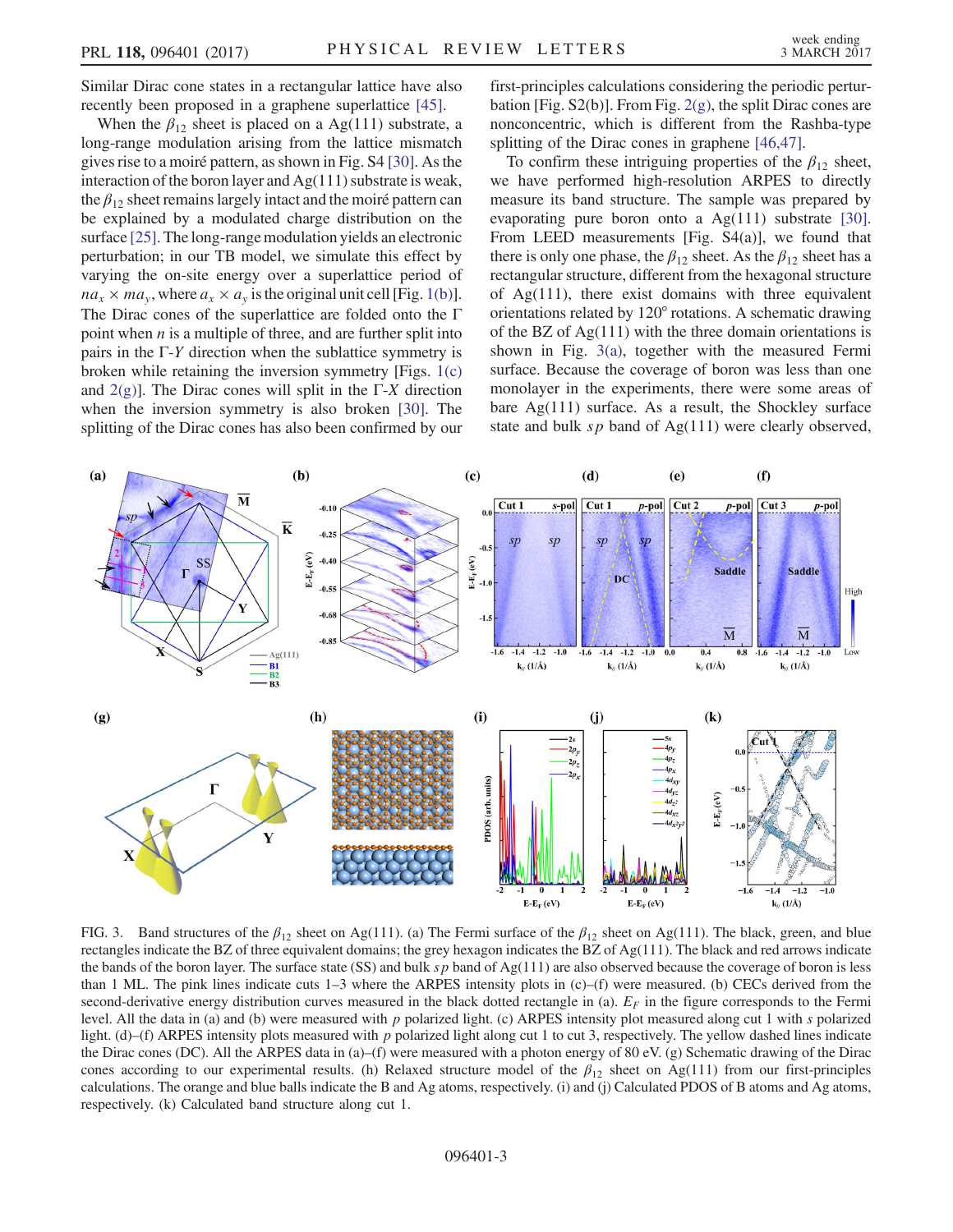Similar Dirac cone states in a rectangular lattice have also recently been proposed in a graphene superlattice [\[45\]](#page-5-0).

When the  $\beta_{12}$  sheet is placed on a Ag(111) substrate, a long-range modulation arising from the lattice mismatch gives rise to a moiré pattern, as shown in Fig. S4 [\[30\]](#page-4-12). As the interaction of the boron layer and  $Ag(111)$  substrate is weak, the  $\beta_{12}$  sheet remains largely intact and the moiré pattern can be explained by a modulated charge distribution on the surface [\[25\].](#page-4-10) The long-range modulation yields an electronic perturbation; in our TB model, we simulate this effect by varying the on-site energy over a superlattice period of  $na_x \times ma_y$ , where  $a_x \times a_y$  is the original unit cell [Fig. [1\(b\)](#page-0-0)]. The Dirac cones of the superlattice are folded onto the Γ point when  $n$  is a multiple of three, and are further split into pairs in the  $\Gamma$ -*Y* direction when the sublattice symmetry is broken while retaining the inversion symmetry [Figs. [1\(c\)](#page-0-0) and  $2(g)$ ]. The Dirac cones will split in the Γ-X direction when the inversion symmetry is also broken [\[30\]](#page-4-12). The splitting of the Dirac cones has also been confirmed by our

first-principles calculations considering the periodic perturbation [Fig. S2(b)]. From Fig.  $2(g)$ , the split Dirac cones are nonconcentric, which is different from the Rashba-type splitting of the Dirac cones in graphene [\[46,47\]](#page-5-1).

To confirm these intriguing properties of the  $\beta_{12}$  sheet, we have performed high-resolution ARPES to directly measure its band structure. The sample was prepared by evaporating pure boron onto a Ag(111) substrate [\[30\]](#page-4-12). From LEED measurements [Fig. S4(a)], we found that there is only one phase, the  $\beta_{12}$  sheet. As the  $\beta_{12}$  sheet has a rectangular structure, different from the hexagonal structure of Ag(111), there exist domains with three equivalent orientations related by 120° rotations. A schematic drawing of the BZ of  $Ag(111)$  with the three domain orientations is shown in Fig. [3\(a\)](#page-2-0), together with the measured Fermi surface. Because the coverage of boron was less than one monolayer in the experiments, there were some areas of bare Ag(111) surface. As a result, the Shockley surface state and bulk  $sp$  band of Ag(111) were clearly observed,

<span id="page-2-0"></span>

FIG. 3. Band structures of the  $\beta_{12}$  sheet on Ag(111). (a) The Fermi surface of the  $\beta_{12}$  sheet on Ag(111). The black, green, and blue rectangles indicate the BZ of three equivalent domains; the grey hexagon indicates the BZ of Ag(111). The black and red arrows indicate the bands of the boron layer. The surface state (SS) and bulk  $sp$  band of Ag(111) are also observed because the coverage of boron is less than 1 ML. The pink lines indicate cuts 1–3 where the ARPES intensity plots in (c)–(f) were measured. (b) CECs derived from the second-derivative energy distribution curves measured in the black dotted rectangle in (a).  $E_F$  in the figure corresponds to the Fermi level. All the data in (a) and (b) were measured with p polarized light. (c) ARPES intensity plot measured along cut 1 with s polarized light. (d)–(f) ARPES intensity plots measured with p polarized light along cut 1 to cut 3, respectively. The yellow dashed lines indicate the Dirac cones (DC). All the ARPES data in (a)–(f) were measured with a photon energy of 80 eV. (g) Schematic drawing of the Dirac cones according to our experimental results. (h) Relaxed structure model of the  $\beta_{12}$  sheet on Ag(111) from our first-principles calculations. The orange and blue balls indicate the B and Ag atoms, respectively. (i) and (j) Calculated PDOS of B atoms and Ag atoms, respectively. (k) Calculated band structure along cut 1.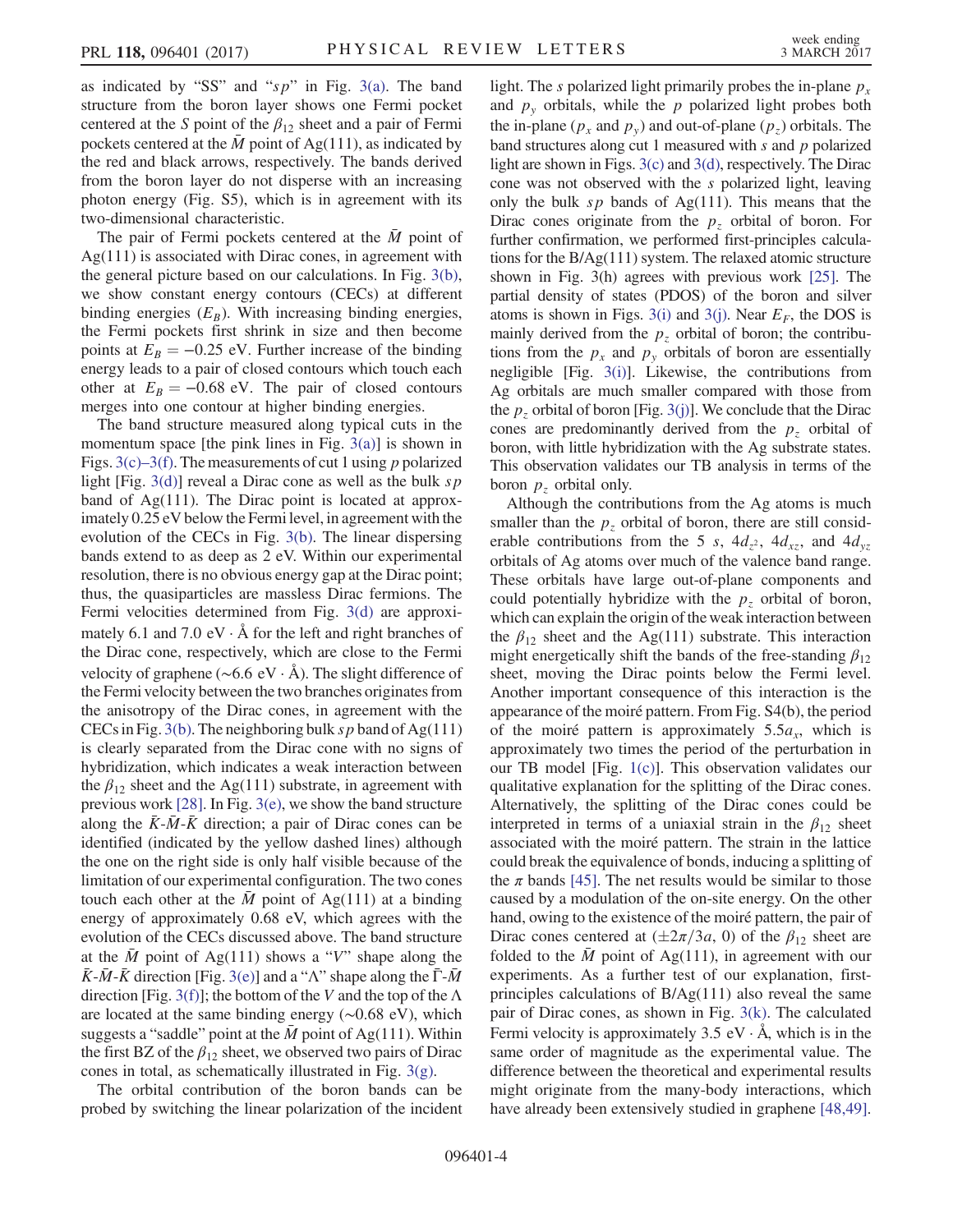as indicated by "SS" and " $sp$ " in Fig. [3\(a\).](#page-2-0) The band structure from the boron layer shows one Fermi pocket centered at the S point of the  $\beta_{12}$  sheet and a pair of Fermi pockets centered at the  $\bar{M}$  point of Ag(111), as indicated by the red and black arrows, respectively. The bands derived from the boron layer do not disperse with an increasing photon energy (Fig. S5), which is in agreement with its two-dimensional characteristic.

The pair of Fermi pockets centered at the  $\overline{M}$  point of  $Ag(111)$  is associated with Dirac cones, in agreement with the general picture based on our calculations. In Fig. [3\(b\)](#page-2-0), we show constant energy contours (CECs) at different binding energies  $(E_B)$ . With increasing binding energies, the Fermi pockets first shrink in size and then become points at  $E_B = -0.25$  eV. Further increase of the binding energy leads to a pair of closed contours which touch each other at  $E_B = -0.68$  eV. The pair of closed contours merges into one contour at higher binding energies.

The band structure measured along typical cuts in the momentum space [the pink lines in Fig.  $3(a)$ ] is shown in Figs.  $3(c)$ –3(f). The measurements of cut 1 using p polarized light [Fig. [3\(d\)](#page-2-0)] reveal a Dirac cone as well as the bulk  $sp$ band of Ag(111). The Dirac point is located at approximately 0.25 eV below the Fermi level, in agreement with the evolution of the CECs in Fig. [3\(b\).](#page-2-0) The linear dispersing bands extend to as deep as 2 eV. Within our experimental resolution, there is no obvious energy gap at the Dirac point; thus, the quasiparticles are massless Dirac fermions. The Fermi velocities determined from Fig. [3\(d\)](#page-2-0) are approximately 6.1 and 7.0 eV  $\cdot$  Å for the left and right branches of the Dirac cone, respectively, which are close to the Fermi velocity of graphene (∼6.6 eV · Å). The slight difference of the Fermi velocity between the two branches originates from the anisotropy of the Dirac cones, in agreement with the CECs in Fig. [3\(b\).](#page-2-0) The neighboring bulk sp band of Ag(111) is clearly separated from the Dirac cone with no signs of hybridization, which indicates a weak interaction between the  $\beta_{12}$  sheet and the Ag(111) substrate, in agreement with previous work [\[28\]](#page-4-13). In Fig. [3\(e\),](#page-2-0) we show the band structure along the  $\overline{K}$ - $\overline{M}$ - $\overline{K}$  direction; a pair of Dirac cones can be identified (indicated by the yellow dashed lines) although the one on the right side is only half visible because of the limitation of our experimental configuration. The two cones touch each other at the  $\overline{M}$  point of Ag(111) at a binding energy of approximately 0.68 eV, which agrees with the evolution of the CECs discussed above. The band structure at the  $\overline{M}$  point of Ag(111) shows a "V" shape along the  $\bar{K}$ - $\bar{M}$ - $\bar{K}$  direction [Fig. [3\(e\)\]](#page-2-0) and a "Λ" shape along the  $\bar{\Gamma}$ - $\bar{M}$ direction [Fig. [3\(f\)](#page-2-0)]; the bottom of the V and the top of the  $\Lambda$ are located at the same binding energy (∼0.68 eV), which suggests a "saddle" point at the  $\bar{M}$  point of Ag(111). Within the first BZ of the  $\beta_{12}$  sheet, we observed two pairs of Dirac cones in total, as schematically illustrated in Fig. [3\(g\)](#page-2-0).

The orbital contribution of the boron bands can be probed by switching the linear polarization of the incident light. The s polarized light primarily probes the in-plane  $p_x$ and  $p_y$  orbitals, while the p polarized light probes both the in-plane ( $p_x$  and  $p_y$ ) and out-of-plane ( $p_z$ ) orbitals. The band structures along cut 1 measured with  $s$  and  $p$  polarized light are shown in Figs. [3\(c\)](#page-2-0) and [3\(d\),](#page-2-0) respectively. The Dirac cone was not observed with the s polarized light, leaving only the bulk  $sp$  bands of Ag(111). This means that the Dirac cones originate from the  $p<sub>z</sub>$  orbital of boron. For further confirmation, we performed first-principles calculations for the B/Ag(111) system. The relaxed atomic structure shown in Fig. 3(h) agrees with previous work [\[25\].](#page-4-10) The partial density of states (PDOS) of the boron and silver atoms is shown in Figs. [3\(i\)](#page-2-0) and [3\(j\)](#page-2-0). Near  $E_F$ , the DOS is mainly derived from the  $p<sub>z</sub>$  orbital of boron; the contributions from the  $p_x$  and  $p_y$  orbitals of boron are essentially negligible [Fig. [3\(i\)\]](#page-2-0). Likewise, the contributions from Ag orbitals are much smaller compared with those from the  $p<sub>z</sub>$  orbital of boron [Fig. [3\(j\)](#page-2-0)]. We conclude that the Dirac cones are predominantly derived from the  $p<sub>z</sub>$  orbital of boron, with little hybridization with the Ag substrate states. This observation validates our TB analysis in terms of the boron  $p<sub>z</sub>$  orbital only.

Although the contributions from the Ag atoms is much smaller than the  $p<sub>z</sub>$  orbital of boron, there are still considerable contributions from the 5 s,  $4d_{z}$ ,  $4d_{xz}$ , and  $4d_{yz}$ orbitals of Ag atoms over much of the valence band range. These orbitals have large out-of-plane components and could potentially hybridize with the  $p<sub>z</sub>$  orbital of boron, which can explain the origin of the weak interaction between the  $\beta_{12}$  sheet and the Ag(111) substrate. This interaction might energetically shift the bands of the free-standing  $\beta_{12}$ sheet, moving the Dirac points below the Fermi level. Another important consequence of this interaction is the appearance of the moiré pattern. From Fig. S4(b), the period of the moiré pattern is approximately  $5.5a_x$ , which is approximately two times the period of the perturbation in our TB model [Fig. [1\(c\)\]](#page-0-0). This observation validates our qualitative explanation for the splitting of the Dirac cones. Alternatively, the splitting of the Dirac cones could be interpreted in terms of a uniaxial strain in the  $\beta_{12}$  sheet associated with the moiré pattern. The strain in the lattice could break the equivalence of bonds, inducing a splitting of the  $\pi$  bands [\[45\].](#page-5-0) The net results would be similar to those caused by a modulation of the on-site energy. On the other hand, owing to the existence of the moiré pattern, the pair of Dirac cones centered at  $(\pm 2\pi/3a, 0)$  of the  $\beta_{12}$  sheet are folded to the  $\overline{M}$  point of Ag(111), in agreement with our experiments. As a further test of our explanation, firstprinciples calculations of B/Ag(111) also reveal the same pair of Dirac cones, as shown in Fig. [3\(k\).](#page-2-0) The calculated Fermi velocity is approximately  $3.5$  eV  $\cdot$  Å, which is in the same order of magnitude as the experimental value. The difference between the theoretical and experimental results might originate from the many-body interactions, which have already been extensively studied in graphene [\[48,49\]](#page-5-2).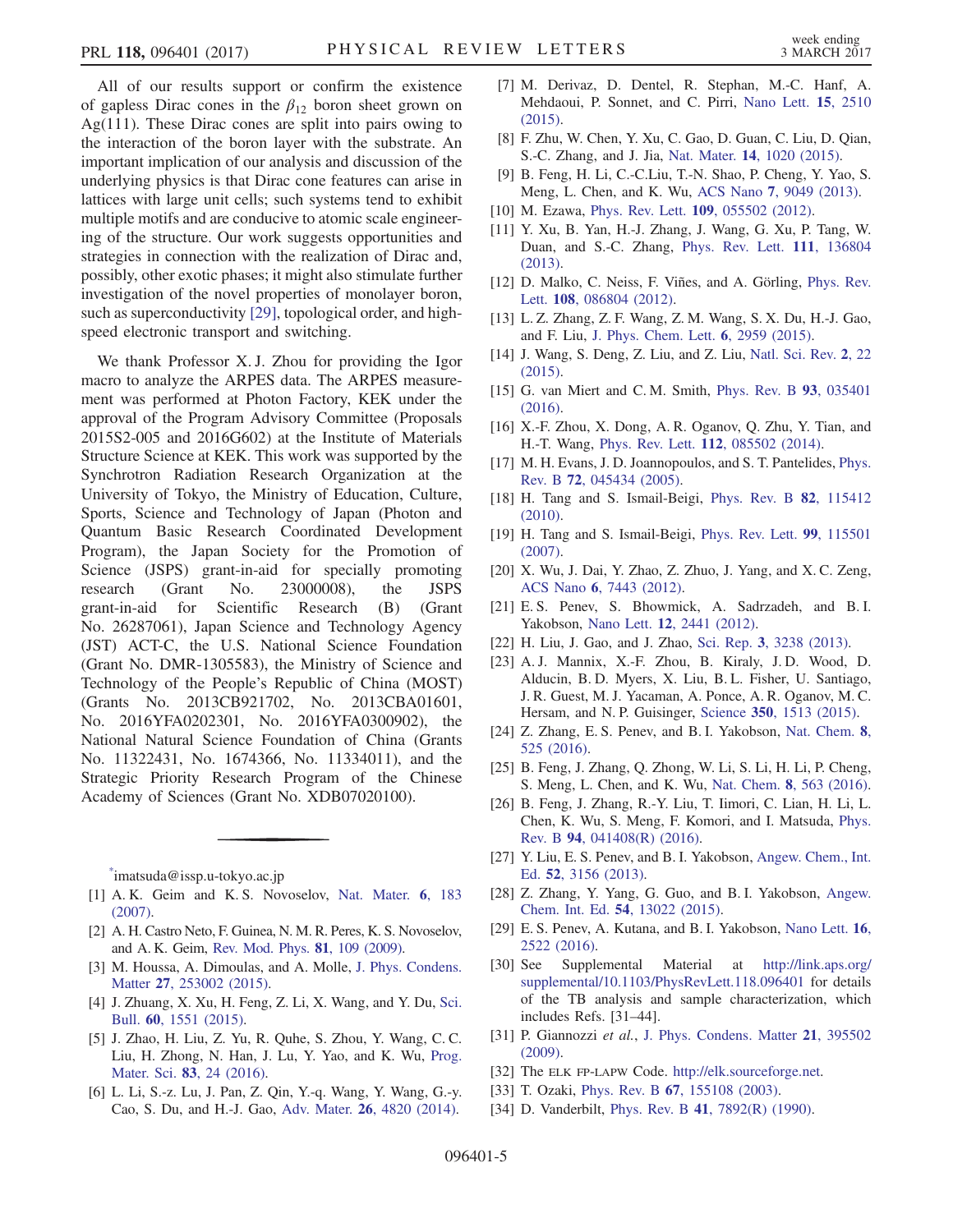All of our results support or confirm the existence of gapless Dirac cones in the  $\beta_{12}$  boron sheet grown on Ag(111). These Dirac cones are split into pairs owing to the interaction of the boron layer with the substrate. An important implication of our analysis and discussion of the underlying physics is that Dirac cone features can arise in lattices with large unit cells; such systems tend to exhibit multiple motifs and are conducive to atomic scale engineering of the structure. Our work suggests opportunities and strategies in connection with the realization of Dirac and, possibly, other exotic phases; it might also stimulate further investigation of the novel properties of monolayer boron, such as superconductivity [\[29\],](#page-4-11) topological order, and highspeed electronic transport and switching.

We thank Professor X. J. Zhou for providing the Igor macro to analyze the ARPES data. The ARPES measurement was performed at Photon Factory, KEK under the approval of the Program Advisory Committee (Proposals 2015S2-005 and 2016G602) at the Institute of Materials Structure Science at KEK. This work was supported by the Synchrotron Radiation Research Organization at the University of Tokyo, the Ministry of Education, Culture, Sports, Science and Technology of Japan (Photon and Quantum Basic Research Coordinated Development Program), the Japan Society for the Promotion of Science (JSPS) grant-in-aid for specially promoting research (Grant No. 23000008), the JSPS grant-in-aid for Scientific Research (B) (Grant No. 26287061), Japan Science and Technology Agency (JST) ACT-C, the U.S. National Science Foundation (Grant No. DMR-1305583), the Ministry of Science and Technology of the People's Republic of China (MOST) (Grants No. 2013CB921702, No. 2013CBA01601, No. 2016YFA0202301, No. 2016YFA0300902), the National Natural Science Foundation of China (Grants No. 11322431, No. 1674366, No. 11334011), and the Strategic Priority Research Program of the Chinese Academy of Sciences (Grant No. XDB07020100).

<span id="page-4-1"></span><span id="page-4-0"></span>[\\*](#page-0-1) imatsuda@issp.u‑tokyo.ac.jp

- <span id="page-4-5"></span>[1] A. K. Geim and K. S. Novoselov, [Nat. Mater.](http://dx.doi.org/10.1038/nmat1849) 6, 183 [\(2007\).](http://dx.doi.org/10.1038/nmat1849)
- <span id="page-4-2"></span>[2] A. H. Castro Neto, F. Guinea, N. M. R. Peres, K. S. Novoselov, and A. K. Geim, [Rev. Mod. Phys.](http://dx.doi.org/10.1103/RevModPhys.81.109) 81, 109 (2009).
- [3] M. Houssa, A. Dimoulas, and A. Molle, [J. Phys. Condens.](http://dx.doi.org/10.1088/0953-8984/27/25/253002) Matter 27[, 253002 \(2015\)](http://dx.doi.org/10.1088/0953-8984/27/25/253002).
- [4] J. Zhuang, X. Xu, H. Feng, Z. Li, X. Wang, and Y. Du, [Sci.](http://dx.doi.org/10.1007/s11434-015-0880-2) Bull. 60[, 1551 \(2015\)](http://dx.doi.org/10.1007/s11434-015-0880-2).
- <span id="page-4-3"></span>[5] J. Zhao, H. Liu, Z. Yu, R. Quhe, S. Zhou, Y. Wang, C. C. Liu, H. Zhong, N. Han, J. Lu, Y. Yao, and K. Wu, [Prog.](http://dx.doi.org/10.1016/j.pmatsci.2016.04.001) Mater. Sci. 83[, 24 \(2016\)](http://dx.doi.org/10.1016/j.pmatsci.2016.04.001).
- [6] L. Li, S.-z. Lu, J. Pan, Z. Qin, Y.-q. Wang, Y. Wang, G.-y. Cao, S. Du, and H.-J. Gao, Adv. Mater. 26[, 4820 \(2014\).](http://dx.doi.org/10.1002/adma.201400909)
- [7] M. Derivaz, D. Dentel, R. Stephan, M.-C. Hanf, A. Mehdaoui, P. Sonnet, and C. Pirri, [Nano Lett.](http://dx.doi.org/10.1021/acs.nanolett.5b00085) 15, 2510 [\(2015\).](http://dx.doi.org/10.1021/acs.nanolett.5b00085)
- <span id="page-4-4"></span>[8] F. Zhu, W. Chen, Y. Xu, C. Gao, D. Guan, C. Liu, D. Qian, S.-C. Zhang, and J. Jia, Nat. Mater. 14[, 1020 \(2015\)](http://dx.doi.org/10.1038/nmat4384).
- [9] B. Feng, H. Li, C.-C.Liu, T.-N. Shao, P. Cheng, Y. Yao, S. Meng, L. Chen, and K. Wu, ACS Nano 7[, 9049 \(2013\).](http://dx.doi.org/10.1021/nn403661h)
- [10] M. Ezawa, Phys. Rev. Lett. 109[, 055502 \(2012\).](http://dx.doi.org/10.1103/PhysRevLett.109.055502)
- [11] Y. Xu, B. Yan, H.-J. Zhang, J. Wang, G. Xu, P. Tang, W. Duan, and S.-C. Zhang, [Phys. Rev. Lett.](http://dx.doi.org/10.1103/PhysRevLett.111.136804) 111, 136804 [\(2013\).](http://dx.doi.org/10.1103/PhysRevLett.111.136804)
- <span id="page-4-6"></span>[12] D. Malko, C. Neiss, F. Viñes, and A. Görling, [Phys. Rev.](http://dx.doi.org/10.1103/PhysRevLett.108.086804) Lett. 108[, 086804 \(2012\)](http://dx.doi.org/10.1103/PhysRevLett.108.086804).
- [13] L. Z. Zhang, Z. F. Wang, Z. M. Wang, S. X. Du, H.-J. Gao, and F. Liu, [J. Phys. Chem. Lett.](http://dx.doi.org/10.1021/acs.jpclett.5b01337) 6, 2959 (2015).
- [14] J. Wang, S. Deng, Z. Liu, and Z. Liu, [Natl. Sci. Rev.](http://dx.doi.org/10.1093/nsr/nwu080) 2, 22 [\(2015\).](http://dx.doi.org/10.1093/nsr/nwu080)
- [15] G. van Miert and C. M. Smith, [Phys. Rev. B](http://dx.doi.org/10.1103/PhysRevB.93.035401) 93, 035401 [\(2016\).](http://dx.doi.org/10.1103/PhysRevB.93.035401)
- <span id="page-4-7"></span>[16] X.-F. Zhou, X. Dong, A. R. Oganov, Q. Zhu, Y. Tian, and H.-T. Wang, Phys. Rev. Lett. 112[, 085502 \(2014\)](http://dx.doi.org/10.1103/PhysRevLett.112.085502).
- <span id="page-4-8"></span>[17] M. H. Evans, J. D. Joannopoulos, and S. T. Pantelides, [Phys.](http://dx.doi.org/10.1103/PhysRevB.72.045434) Rev. B 72[, 045434 \(2005\).](http://dx.doi.org/10.1103/PhysRevB.72.045434)
- [18] H. Tang and S. Ismail-Beigi, [Phys. Rev. B](http://dx.doi.org/10.1103/PhysRevB.82.115412) 82, 115412 [\(2010\).](http://dx.doi.org/10.1103/PhysRevB.82.115412)
- [19] H. Tang and S. Ismail-Beigi, [Phys. Rev. Lett.](http://dx.doi.org/10.1103/PhysRevLett.99.115501) 99, 115501 [\(2007\).](http://dx.doi.org/10.1103/PhysRevLett.99.115501)
- [20] X. Wu, J. Dai, Y. Zhao, Z. Zhuo, J. Yang, and X. C. Zeng, ACS Nano 6[, 7443 \(2012\)](http://dx.doi.org/10.1021/nn302696v).
- [21] E. S. Penev, S. Bhowmick, A. Sadrzadeh, and B. I. Yakobson, Nano Lett. 12[, 2441 \(2012\)](http://dx.doi.org/10.1021/nl3004754).
- <span id="page-4-9"></span>[22] H. Liu, J. Gao, and J. Zhao, Sci. Rep. 3[, 3238 \(2013\).](http://dx.doi.org/10.1038/srep03238)
- [23] A. J. Mannix, X.-F. Zhou, B. Kiraly, J. D. Wood, D. Alducin, B. D. Myers, X. Liu, B. L. Fisher, U. Santiago, J. R. Guest, M. J. Yacaman, A. Ponce, A. R. Oganov, M. C. Hersam, and N. P. Guisinger, Science 350[, 1513 \(2015\)](http://dx.doi.org/10.1126/science.aad1080).
- <span id="page-4-10"></span>[24] Z. Zhang, E. S. Penev, and B. I. Yakobson, [Nat. Chem.](http://dx.doi.org/10.1038/nchem.2521) 8, [525 \(2016\)](http://dx.doi.org/10.1038/nchem.2521).
- [25] B. Feng, J. Zhang, Q. Zhong, W. Li, S. Li, H. Li, P. Cheng, S. Meng, L. Chen, and K. Wu, Nat. Chem. 8[, 563 \(2016\).](http://dx.doi.org/10.1038/nchem.2491)
- [26] B. Feng, J. Zhang, R.-Y. Liu, T. Iimori, C. Lian, H. Li, L. Chen, K. Wu, S. Meng, F. Komori, and I. Matsuda, [Phys.](http://dx.doi.org/10.1103/PhysRevB.94.041408) Rev. B 94[, 041408\(R\) \(2016\)](http://dx.doi.org/10.1103/PhysRevB.94.041408).
- <span id="page-4-13"></span>[27] Y. Liu, E. S. Penev, and B. I. Yakobson, [Angew. Chem., Int.](http://dx.doi.org/10.1002/anie.201207972) Ed. 52[, 3156 \(2013\).](http://dx.doi.org/10.1002/anie.201207972)
- <span id="page-4-11"></span>[28] Z. Zhang, Y. Yang, G. Guo, and B. I. Yakobson, [Angew.](http://dx.doi.org/10.1002/anie.201505425) Chem. Int. Ed. 54[, 13022 \(2015\).](http://dx.doi.org/10.1002/anie.201505425)
- <span id="page-4-12"></span>[29] E. S. Penev, A. Kutana, and B. I. Yakobson, [Nano Lett.](http://dx.doi.org/10.1021/acs.nanolett.6b00070) 16, [2522 \(2016\)](http://dx.doi.org/10.1021/acs.nanolett.6b00070).
- [30] See Supplemental Material at [http://link.aps.org/](http://link.aps.org/supplemental/10.1103/PhysRevLett.118.096401) [supplemental/10.1103/PhysRevLett.118.096401](http://link.aps.org/supplemental/10.1103/PhysRevLett.118.096401) for details of the TB analysis and sample characterization, which includes Refs. [31–44].
- [31] P. Giannozzi et al., [J. Phys. Condens. Matter](http://dx.doi.org/10.1088/0953-8984/21/39/395502) 21, 395502 [\(2009\).](http://dx.doi.org/10.1088/0953-8984/21/39/395502)
- [32] The ELK FP-LAPW Code. <http://elk.sourceforge.net>.
- [33] T. Ozaki, Phys. Rev. B **67**[, 155108 \(2003\).](http://dx.doi.org/10.1103/PhysRevB.67.155108)
- [34] D. Vanderbilt, Phys. Rev. B 41[, 7892\(R\) \(1990\)](http://dx.doi.org/10.1103/PhysRevB.41.7892).